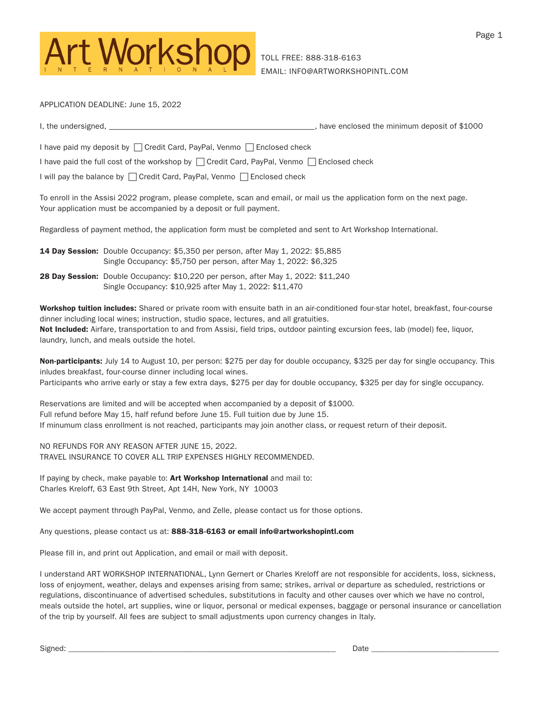

APPLICATION DEADLINE: June 15, 2022

| I, the undersigned, | have enclosed the minimum deposit of \$1000 |
|---------------------|---------------------------------------------|
|                     |                                             |

I have paid my deposit by  $\Box$  Credit Card, PayPal, Venmo  $\Box$  Enclosed check

I have paid the full cost of the workshop by  $\Box$  Credit Card, PayPal, Venmo  $\Box$  Enclosed check

I will pay the balance by  $\Box$  Credit Card, PayPal, Venmo  $\Box$  Enclosed check

To enroll in the Assisi 2022 program, please complete, scan and email, or mail us the application form on the next page. Your application must be accompanied by a deposit or full payment.

Regardless of payment method, the application form must be completed and sent to Art Workshop International.

14 Day Session: Double Occupancy: \$5,350 per person, after May 1, 2022: \$5,885 Single Occupancy: \$5,750 per person, after May 1, 2022: \$6,325

28 Day Session: Double Occupancy: \$10,220 per person, after May 1, 2022: \$11,240 Single Occupancy: \$10,925 after May 1, 2022: \$11,470

Workshop tuition includes: Shared or private room with ensuite bath in an air-conditioned four-star hotel, breakfast, four-course dinner including local wines; instruction, studio space, lectures, and all gratuities. Not Included: Airfare, transportation to and from Assisi, field trips, outdoor painting excursion fees, lab (model) fee, liquor, laundry, lunch, and meals outside the hotel.

Non-participants: July 14 to August 10, per person: \$275 per day for double occupancy, \$325 per day for single occupancy. This inludes breakfast, four-course dinner including local wines. Participants who arrive early or stay a few extra days, \$275 per day for double occupancy, \$325 per day for single occupancy.

Reservations are limited and will be accepted when accompanied by a deposit of \$1000. Full refund before May 15, half refund before June 15. Full tuition due by June 15. If minumum class enrollment is not reached, participants may join another class, or request return of their deposit.

NO REFUNDS FOR ANY REASON AFTER JUNE 15, 2022. TRAVEL INSURANCE TO COVER ALL TRIP EXPENSES HIGHLY RECOMMENDED.

If paying by check, make payable to: Art Workshop International and mail to: Charles Kreloff, 63 East 9th Street, Apt 14H, New York, NY 10003

We accept payment through PayPal, Venmo, and Zelle, please contact us for those options.

Any questions, please contact us at: 888-318-6163 or email info@artworkshopintl.com

Please fill in, and print out Application, and email or mail with deposit.

I understand ART WORKSHOP INTERNATIONAL, Lynn Gernert or Charles Kreloff are not responsible for accidents, loss, sickness, loss of enjoyment, weather, delays and expenses arising from same; strikes, arrival or departure as scheduled, restrictions or regulations, discontinuance of advertised schedules, substitutions in faculty and other causes over which we have no control, meals outside the hotel, art supplies, wine or liquor, personal or medical expenses, baggage or personal insurance or cancellation of the trip by yourself. All fees are subject to small adjustments upon currency changes in Italy.

Signed: \_\_\_\_\_\_\_\_\_\_\_\_\_\_\_\_\_\_\_\_\_\_\_\_\_\_\_\_\_\_\_\_\_\_\_\_\_\_\_\_\_\_\_\_\_\_\_\_\_\_\_\_\_\_\_\_\_\_\_\_\_\_\_\_\_\_\_ Date \_\_\_\_\_\_\_\_\_\_\_\_\_\_\_\_\_\_\_\_\_\_\_\_\_\_\_\_\_\_\_\_